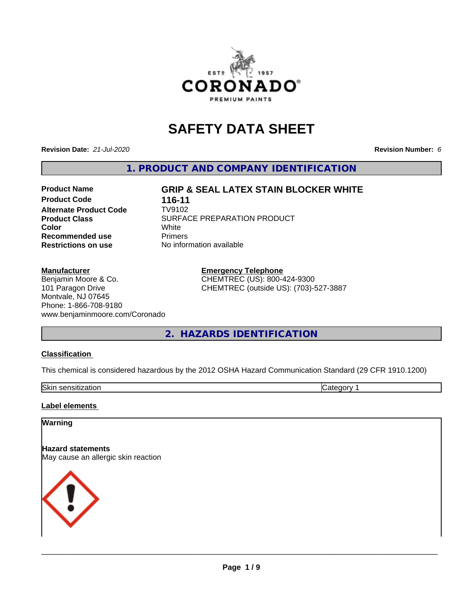

# **SAFETY DATA SHEET**

**Revision Date:** *21-Jul-2020* **Revision Number:** *6*

**1. PRODUCT AND COMPANY IDENTIFICATION**

## **Product Name GRIP & SEAL LATEX STAIN BLOCKER WHITE**

**Product Code 116-11**<br>**Alternate Product Code 119102 Alternate Product Code Recommended use** Primers **Restrictions on use** No information available

**Product Class** SURFACE PREPARATION PRODUCT<br>
Color **Color** White White

#### **Manufacturer**

Benjamin Moore & Co. 101 Paragon Drive Montvale, NJ 07645 Phone: 1-866-708-9180 www.benjaminmoore.com/Coronado **Emergency Telephone** CHEMTREC (US): 800-424-9300 CHEMTREC (outside US): (703)-527-3887

**2. HAZARDS IDENTIFICATION**

#### **Classification**

This chemical is considered hazardous by the 2012 OSHA Hazard Communication Standard (29 CFR 1910.1200)

| Skin<br>าsitization<br>.<br><b>SCHSILIZ</b> | וו זי<br>. <i>.</i> |
|---------------------------------------------|---------------------|

#### **Label elements**

#### **Warning**

**Hazard statements** May cause an allergic skin reaction

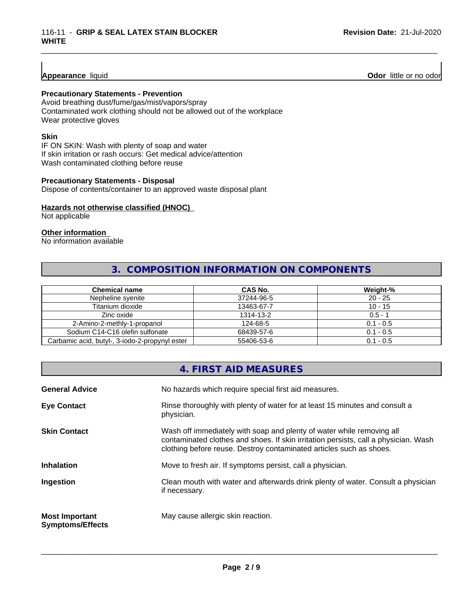#### **Appearance** liquid

**Odor** little or no odor

#### **Precautionary Statements - Prevention**

Avoid breathing dust/fume/gas/mist/vapors/spray Contaminated work clothing should not be allowed out of the workplace Wear protective gloves

#### **Skin**

IF ON SKIN: Wash with plenty of soap and water If skin irritation or rash occurs: Get medical advice/attention Wash contaminated clothing before reuse

#### **Precautionary Statements - Disposal**

Dispose of contents/container to an approved waste disposal plant

#### **Hazards not otherwise classified (HNOC)**

Not applicable

#### **Other information**

No information available

## **3. COMPOSITION INFORMATION ON COMPONENTS**

\_\_\_\_\_\_\_\_\_\_\_\_\_\_\_\_\_\_\_\_\_\_\_\_\_\_\_\_\_\_\_\_\_\_\_\_\_\_\_\_\_\_\_\_\_\_\_\_\_\_\_\_\_\_\_\_\_\_\_\_\_\_\_\_\_\_\_\_\_\_\_\_\_\_\_\_\_\_\_\_\_\_\_\_\_\_\_\_\_\_\_\_\_

| <b>Chemical name</b>                           | CAS No.    | Weight-%    |
|------------------------------------------------|------------|-------------|
| Nepheline svenite                              | 37244-96-5 | $20 - 25$   |
| Titanium dioxide                               | 13463-67-7 | $10 - 15$   |
| Zinc oxide                                     | 1314-13-2  | $0.5 - 1$   |
| 2-Amino-2-methly-1-propanol                    | 124-68-5   | $0.1 - 0.5$ |
| Sodium C14-C16 olefin sulfonate                | 68439-57-6 | $0.1 - 0.5$ |
| Carbamic acid, butyl-, 3-iodo-2-propynyl ester | 55406-53-6 | $0.1 - 0.5$ |

#### **4. FIRST AID MEASURES**

| <b>General Advice</b>                            | No hazards which require special first aid measures.                                                                                                                                                                                |
|--------------------------------------------------|-------------------------------------------------------------------------------------------------------------------------------------------------------------------------------------------------------------------------------------|
| <b>Eye Contact</b>                               | Rinse thoroughly with plenty of water for at least 15 minutes and consult a<br>physician.                                                                                                                                           |
| <b>Skin Contact</b>                              | Wash off immediately with soap and plenty of water while removing all<br>contaminated clothes and shoes. If skin irritation persists, call a physician. Wash<br>clothing before reuse. Destroy contaminated articles such as shoes. |
| <b>Inhalation</b>                                | Move to fresh air. If symptoms persist, call a physician.                                                                                                                                                                           |
| Ingestion                                        | Clean mouth with water and afterwards drink plenty of water. Consult a physician<br>if necessary.                                                                                                                                   |
| <b>Most Important</b><br><b>Symptoms/Effects</b> | May cause allergic skin reaction.                                                                                                                                                                                                   |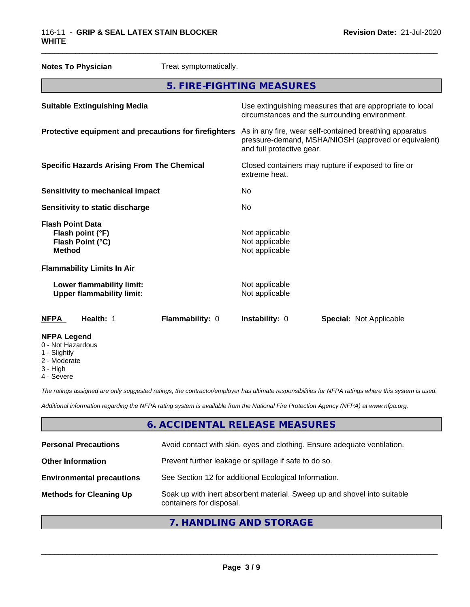| <b>Notes To Physician</b>                                                        | Treat symptomatically. |                                                                      |                                                                                                                 |
|----------------------------------------------------------------------------------|------------------------|----------------------------------------------------------------------|-----------------------------------------------------------------------------------------------------------------|
|                                                                                  |                        | 5. FIRE-FIGHTING MEASURES                                            |                                                                                                                 |
| <b>Suitable Extinguishing Media</b>                                              |                        |                                                                      | Use extinguishing measures that are appropriate to local<br>circumstances and the surrounding environment.      |
| Protective equipment and precautions for firefighters                            |                        | and full protective gear.                                            | As in any fire, wear self-contained breathing apparatus<br>pressure-demand, MSHA/NIOSH (approved or equivalent) |
| <b>Specific Hazards Arising From The Chemical</b>                                |                        | Closed containers may rupture if exposed to fire or<br>extreme heat. |                                                                                                                 |
| <b>Sensitivity to mechanical impact</b>                                          |                        | No.                                                                  |                                                                                                                 |
| Sensitivity to static discharge                                                  |                        | No                                                                   |                                                                                                                 |
| <b>Flash Point Data</b><br>Flash point (°F)<br>Flash Point (°C)<br><b>Method</b> |                        | Not applicable<br>Not applicable<br>Not applicable                   |                                                                                                                 |
| <b>Flammability Limits In Air</b>                                                |                        |                                                                      |                                                                                                                 |
| Lower flammability limit:<br><b>Upper flammability limit:</b>                    |                        | Not applicable<br>Not applicable                                     |                                                                                                                 |
| Health: 1<br><b>NFPA</b>                                                         | Flammability: 0        | Instability: 0                                                       | <b>Special: Not Applicable</b>                                                                                  |
| <b>NFPA Legend</b><br>0 - Not Hazardous<br>1 - Slightly                          |                        |                                                                      |                                                                                                                 |

- Slightly
- 2 Moderate
- 3 High
- 4 Severe

*The ratings assigned are only suggested ratings, the contractor/employer has ultimate responsibilities for NFPA ratings where this system is used.*

*Additional information regarding the NFPA rating system is available from the National Fire Protection Agency (NFPA) at www.nfpa.org.*

## **6. ACCIDENTAL RELEASE MEASURES**

| <b>Personal Precautions</b>      | Avoid contact with skin, eyes and clothing. Ensure adequate ventilation.                             |
|----------------------------------|------------------------------------------------------------------------------------------------------|
| <b>Other Information</b>         | Prevent further leakage or spillage if safe to do so.                                                |
| <b>Environmental precautions</b> | See Section 12 for additional Ecological Information.                                                |
| <b>Methods for Cleaning Up</b>   | Soak up with inert absorbent material. Sweep up and shovel into suitable<br>containers for disposal. |
|                                  |                                                                                                      |

## **7. HANDLING AND STORAGE**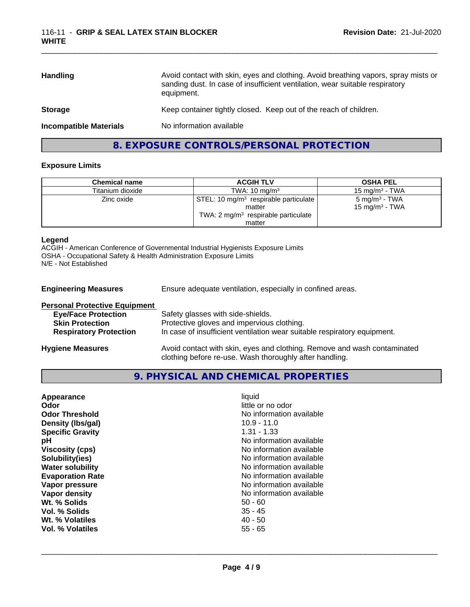| <b>Handling</b>               | Avoid contact with skin, eyes and clothing. Avoid breathing vapors, spray mists or<br>sanding dust. In case of insufficient ventilation, wear suitable respiratory<br>equipment. |
|-------------------------------|----------------------------------------------------------------------------------------------------------------------------------------------------------------------------------|
| <b>Storage</b>                | Keep container tightly closed. Keep out of the reach of children.                                                                                                                |
| <b>Incompatible Materials</b> | No information available                                                                                                                                                         |
|                               |                                                                                                                                                                                  |

## **8. EXPOSURE CONTROLS/PERSONAL PROTECTION**

#### **Exposure Limits**

| <b>Chemical name</b> | <b>ACGIH TLV</b>                                  | <b>OSHA PEL</b>           |
|----------------------|---------------------------------------------------|---------------------------|
| Titanium dioxide     | TWA: $10 \text{ mg/m}^3$                          | 15 mg/m $3$ - TWA         |
| Zinc oxide           | STEL: 10 mg/m <sup>3</sup> respirable particulate | $5 \text{ mg/m}^3$ - TWA  |
|                      | matter                                            | $15 \text{ mg/m}^3$ - TWA |
|                      | TWA: $2 \text{ mg/m}^3$ respirable particulate    |                           |
|                      | matter                                            |                           |

#### **Legend**

ACGIH - American Conference of Governmental Industrial Hygienists Exposure Limits OSHA - Occupational Safety & Health Administration Exposure Limits N/E - Not Established

| <b>Engineering Measures</b>                                                                                                   | Ensure adequate ventilation, especially in confined areas.                                                                                                  |
|-------------------------------------------------------------------------------------------------------------------------------|-------------------------------------------------------------------------------------------------------------------------------------------------------------|
| <b>Personal Protective Equipment</b><br><b>Eye/Face Protection</b><br><b>Skin Protection</b><br><b>Respiratory Protection</b> | Safety glasses with side-shields.<br>Protective gloves and impervious clothing.<br>In case of insufficient ventilation wear suitable respiratory equipment. |
| <b>Hygiene Measures</b>                                                                                                       | Avoid contact with skin, eyes and clothing. Remove and wash contaminated                                                                                    |

clothing before re-use. Wash thoroughly after handling.

**9. PHYSICAL AND CHEMICAL PROPERTIES**

| Appearance              | liquid                   |
|-------------------------|--------------------------|
| Odor                    | little or no odor        |
| <b>Odor Threshold</b>   | No information available |
| Density (Ibs/gal)       | $10.9 - 11.0$            |
| <b>Specific Gravity</b> | $1.31 - 1.33$            |
| рH                      | No information available |
| <b>Viscosity (cps)</b>  | No information available |
| Solubility(ies)         | No information available |
| <b>Water solubility</b> | No information available |
| <b>Evaporation Rate</b> | No information available |
| Vapor pressure          | No information available |
| Vapor density           | No information available |
| Wt. % Solids            | $50 - 60$                |
| Vol. % Solids           | $35 - 45$                |
| Wt. % Volatiles         | $40 - 50$                |
| Vol. % Volatiles        | $55 - 65$                |
|                         |                          |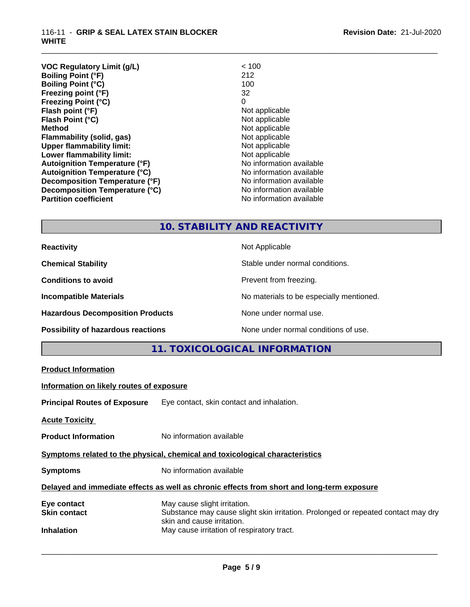| <b>VOC Regulatory Limit (g/L)</b>    | < 100                    |
|--------------------------------------|--------------------------|
| <b>Boiling Point (°F)</b>            | 212                      |
| <b>Boiling Point (°C)</b>            | 100                      |
| Freezing point (°F)                  | 32                       |
| <b>Freezing Point (°C)</b>           | 0                        |
| Flash point (°F)                     | Not applicable           |
| Flash Point (°C)                     | Not applicable           |
| <b>Method</b>                        | Not applicable           |
| Flammability (solid, gas)            | Not applicable           |
| <b>Upper flammability limit:</b>     | Not applicable           |
| Lower flammability limit:            | Not applicable           |
| <b>Autoignition Temperature (°F)</b> | No information available |
| <b>Autoignition Temperature (°C)</b> | No information available |
| Decomposition Temperature (°F)       | No information available |
| Decomposition Temperature (°C)       | No information available |
| <b>Partition coefficient</b>         | No information available |

## **10. STABILITY AND REACTIVITY**

\_\_\_\_\_\_\_\_\_\_\_\_\_\_\_\_\_\_\_\_\_\_\_\_\_\_\_\_\_\_\_\_\_\_\_\_\_\_\_\_\_\_\_\_\_\_\_\_\_\_\_\_\_\_\_\_\_\_\_\_\_\_\_\_\_\_\_\_\_\_\_\_\_\_\_\_\_\_\_\_\_\_\_\_\_\_\_\_\_\_\_\_\_

| <b>Reactivity</b>                       | Not Applicable                           |
|-----------------------------------------|------------------------------------------|
| <b>Chemical Stability</b>               | Stable under normal conditions.          |
| <b>Conditions to avoid</b>              | Prevent from freezing.                   |
| <b>Incompatible Materials</b>           | No materials to be especially mentioned. |
| <b>Hazardous Decomposition Products</b> | None under normal use.                   |
| Possibility of hazardous reactions      | None under normal conditions of use.     |

## **11. TOXICOLOGICAL INFORMATION**

| <b>Product Information</b>               |                                                                                                                                                 |
|------------------------------------------|-------------------------------------------------------------------------------------------------------------------------------------------------|
| Information on likely routes of exposure |                                                                                                                                                 |
|                                          | <b>Principal Routes of Exposure</b> Eye contact, skin contact and inhalation.                                                                   |
| <b>Acute Toxicity</b>                    |                                                                                                                                                 |
| <b>Product Information</b>               | No information available                                                                                                                        |
|                                          | Symptoms related to the physical, chemical and toxicological characteristics                                                                    |
| <b>Symptoms</b>                          | No information available                                                                                                                        |
|                                          | Delayed and immediate effects as well as chronic effects from short and long-term exposure                                                      |
| Eye contact<br><b>Skin contact</b>       | May cause slight irritation.<br>Substance may cause slight skin irritation. Prolonged or repeated contact may dry<br>skin and cause irritation. |
| <b>Inhalation</b>                        | May cause irritation of respiratory tract.                                                                                                      |
|                                          |                                                                                                                                                 |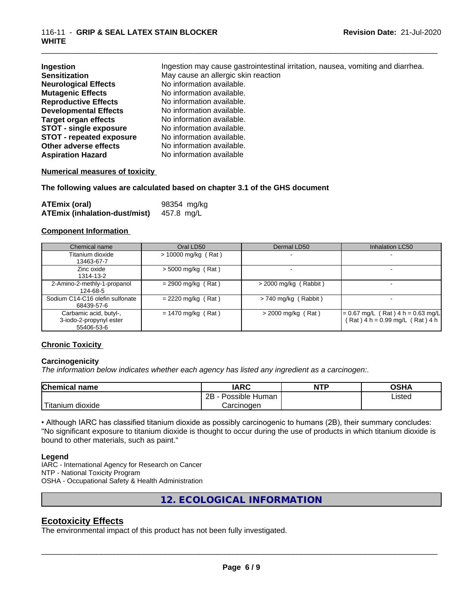| Ingestion                       | Ingestion may cause gastrointestinal irritation, nausea, vomiting and diarrhea. |
|---------------------------------|---------------------------------------------------------------------------------|
| <b>Sensitization</b>            | May cause an allergic skin reaction                                             |
| <b>Neurological Effects</b>     | No information available.                                                       |
| <b>Mutagenic Effects</b>        | No information available.                                                       |
| <b>Reproductive Effects</b>     | No information available.                                                       |
| <b>Developmental Effects</b>    | No information available.                                                       |
| <b>Target organ effects</b>     | No information available.                                                       |
| <b>STOT - single exposure</b>   | No information available.                                                       |
| <b>STOT - repeated exposure</b> | No information available.                                                       |
| Other adverse effects           | No information available.                                                       |
| <b>Aspiration Hazard</b>        | No information available                                                        |

#### **Numerical measures of toxicity**

#### **The following values are calculated based on chapter 3.1 of the GHS document**

| <b>ATEmix (oral)</b>                 | 98354 mg/kg |
|--------------------------------------|-------------|
| <b>ATEmix (inhalation-dust/mist)</b> | 457.8 mg/L  |

#### **Component Information**

| Chemical name                                                   | Oral LD50             | Dermal LD50              | <b>Inhalation LC50</b>                                                   |
|-----------------------------------------------------------------|-----------------------|--------------------------|--------------------------------------------------------------------------|
| Titanium dioxide<br>13463-67-7                                  | $> 10000$ mg/kg (Rat) | $\overline{\phantom{0}}$ |                                                                          |
| Zinc oxide<br>1314-13-2                                         | $>$ 5000 mg/kg (Rat)  |                          |                                                                          |
| 2-Amino-2-methly-1-propanol<br>124-68-5                         | $= 2900$ mg/kg (Rat)  | $>$ 2000 mg/kg (Rabbit)  |                                                                          |
| Sodium C14-C16 olefin sulfonate<br>68439-57-6                   | $= 2220$ mg/kg (Rat)  | $> 740$ mg/kg (Rabbit)   |                                                                          |
| Carbamic acid, butyl-,<br>3-iodo-2-propynyl ester<br>55406-53-6 | $= 1470$ mg/kg (Rat)  | $>$ 2000 mg/kg (Rat)     | $= 0.67$ mg/L (Rat) 4 h = 0.63 mg/L<br>$(Rat)$ 4 h = 0.99 mg/L (Rat) 4 h |

#### **Chronic Toxicity**

#### **Carcinogenicity**

*The information below indicateswhether each agency has listed any ingredient as a carcinogen:.*

| <b>Chemical</b><br>name                                                                                                                         | <b>IARC</b>               | <b>NTP</b> | <b>OSHA</b> |
|-------------------------------------------------------------------------------------------------------------------------------------------------|---------------------------|------------|-------------|
|                                                                                                                                                 | .<br>2B<br>Possible Human |            | Listed      |
| <b>The Contract of the Contract of the Contract of the Contract of the Contract of the Contract of the Contract o</b><br>n dioxide<br>l itanium | Carcinogen                |            |             |

• Although IARC has classified titanium dioxide as possibly carcinogenic to humans (2B), their summary concludes: "No significant exposure to titanium dioxide is thought to occur during the use of products in which titanium dioxide is bound to other materials, such as paint."

#### **Legend**

IARC - International Agency for Research on Cancer NTP - National Toxicity Program OSHA - Occupational Safety & Health Administration

**12. ECOLOGICAL INFORMATION**

### **Ecotoxicity Effects**

The environmental impact of this product has not been fully investigated.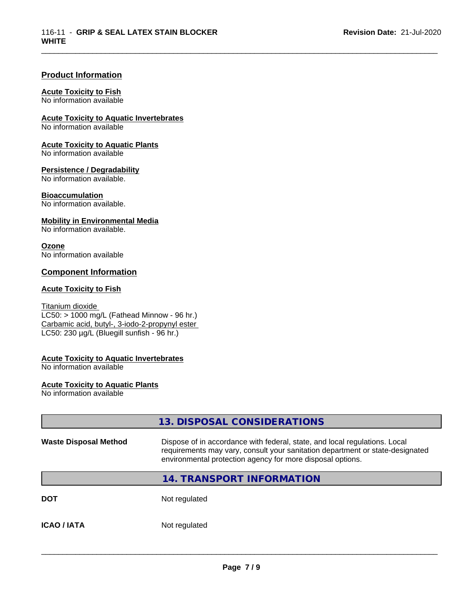#### **Product Information**

#### **Acute Toxicity to Fish**

No information available

**Acute Toxicity to Aquatic Invertebrates**

No information available

**Acute Toxicity to Aquatic Plants** No information available

#### **Persistence / Degradability**

No information available.

#### **Bioaccumulation**

No information available.

#### **Mobility in Environmental Media**

No information available.

#### **Ozone**

No information available

#### **Component Information**

#### **Acute Toxicity to Fish**

#### Titanium dioxide  $\overline{\text{LC50:}}$  > 1000 mg/L (Fathead Minnow - 96 hr.) Carbamic acid, butyl-, 3-iodo-2-propynyl ester LC50: 230 µg/L (Bluegill sunfish - 96 hr.)

#### **Acute Toxicity to Aquatic Invertebrates**

No information available

#### **Acute Toxicity to Aquatic Plants**

No information available

|                              | 13. DISPOSAL CONSIDERATIONS                                                                                                                                                                                               |
|------------------------------|---------------------------------------------------------------------------------------------------------------------------------------------------------------------------------------------------------------------------|
| <b>Waste Disposal Method</b> | Dispose of in accordance with federal, state, and local regulations. Local<br>requirements may vary, consult your sanitation department or state-designated<br>environmental protection agency for more disposal options. |
|                              | <b>14. TRANSPORT INFORMATION</b>                                                                                                                                                                                          |
| <b>DOT</b>                   | Not regulated                                                                                                                                                                                                             |
| <b>ICAO / IATA</b>           | Not regulated                                                                                                                                                                                                             |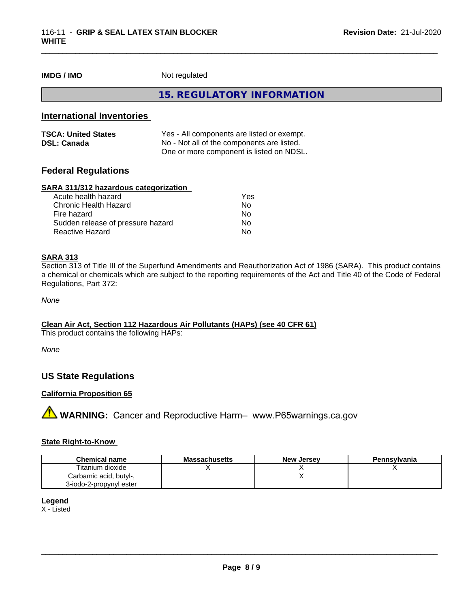**IMDG / IMO** Not regulated

**15. REGULATORY INFORMATION**

\_\_\_\_\_\_\_\_\_\_\_\_\_\_\_\_\_\_\_\_\_\_\_\_\_\_\_\_\_\_\_\_\_\_\_\_\_\_\_\_\_\_\_\_\_\_\_\_\_\_\_\_\_\_\_\_\_\_\_\_\_\_\_\_\_\_\_\_\_\_\_\_\_\_\_\_\_\_\_\_\_\_\_\_\_\_\_\_\_\_\_\_\_

#### **International Inventories**

| <b>TSCA: United States</b> | Yes - All components are listed or exempt. |
|----------------------------|--------------------------------------------|
| <b>DSL: Canada</b>         | No - Not all of the components are listed. |
|                            | One or more component is listed on NDSL.   |

#### **Federal Regulations**

#### **SARA 311/312 hazardous categorization**

| Acute health hazard               | Yes |  |
|-----------------------------------|-----|--|
| Chronic Health Hazard             | Nο  |  |
| Fire hazard                       | N٥  |  |
| Sudden release of pressure hazard | Nο  |  |
| Reactive Hazard                   | Nο  |  |

#### **SARA 313**

Section 313 of Title III of the Superfund Amendments and Reauthorization Act of 1986 (SARA). This product contains a chemical or chemicals which are subject to the reporting requirements of the Act and Title 40 of the Code of Federal Regulations, Part 372:

*None*

#### **Clean Air Act,Section 112 Hazardous Air Pollutants (HAPs) (see 40 CFR 61)**

This product contains the following HAPs:

*None*

## **US State Regulations**

#### **California Proposition 65**

**A WARNING:** Cancer and Reproductive Harm– www.P65warnings.ca.gov

#### **State Right-to-Know**

| <b>Chemical name</b>    | <b>Massachusetts</b> | <b>New Jersey</b> | Pennsylvania |
|-------------------------|----------------------|-------------------|--------------|
| Titanium dioxide        |                      |                   |              |
| Carbamic acid, butyl-,  |                      |                   |              |
| 3-iodo-2-propynyl ester |                      |                   |              |

#### **Legend**

X - Listed